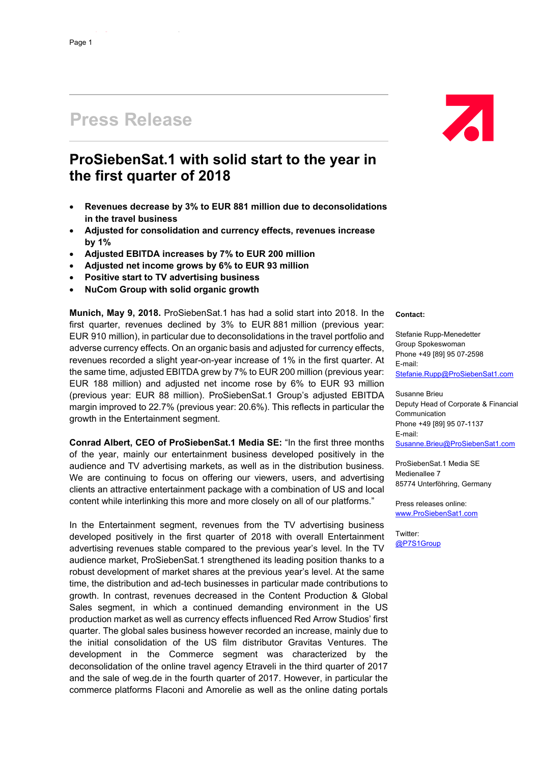# **Press Release**

## **ProSiebenSat.1 with solid start to the year in the first quarter of 2018**

- **Revenues decrease by 3% to EUR 881 million due to deconsolidations in the travel business**
- **Adjusted for consolidation and currency effects, revenues increase by 1%**
- **Adjusted EBITDA increases by 7% to EUR 200 million**
- **Adjusted net income grows by 6% to EUR 93 million**
- **Positive start to TV advertising business**
- **NuCom Group with solid organic growth**

**Munich, May 9, 2018.** ProSiebenSat.1 has had a solid start into 2018. In the first quarter, revenues declined by 3% to EUR 881 million (previous year: EUR 910 million), in particular due to deconsolidations in the travel portfolio and adverse currency effects. On an organic basis and adjusted for currency effects, revenues recorded a slight year-on-year increase of 1% in the first quarter. At the same time, adjusted EBITDA grew by 7% to EUR 200 million (previous year: EUR 188 million) and adjusted net income rose by 6% to EUR 93 million (previous year: EUR 88 million). ProSiebenSat.1 Group's adjusted EBITDA margin improved to 22.7% (previous year: 20.6%). This reflects in particular the growth in the Entertainment segment.

**Conrad Albert, CEO of ProSiebenSat.1 Media SE:** "In the first three months of the year, mainly our entertainment business developed positively in the audience and TV advertising markets, as well as in the distribution business. We are continuing to focus on offering our viewers, users, and advertising clients an attractive entertainment package with a combination of US and local content while interlinking this more and more closely on all of our platforms."

In the Entertainment segment, revenues from the TV advertising business developed positively in the first quarter of 2018 with overall Entertainment advertising revenues stable compared to the previous year's level. In the TV audience market, ProSiebenSat.1 strengthened its leading position thanks to a robust development of market shares at the previous year's level. At the same time, the distribution and ad-tech businesses in particular made contributions to growth. In contrast, revenues decreased in the Content Production & Global Sales segment, in which a continued demanding environment in the US production market as well as currency effects influenced Red Arrow Studios' first quarter. The global sales business however recorded an increase, mainly due to the initial consolidation of the US film distributor Gravitas Ventures. The development in the Commerce segment was characterized by the deconsolidation of the online travel agency Etraveli in the third quarter of 2017 and the sale of weg.de in the fourth quarter of 2017. However, in particular the commerce platforms Flaconi and Amorelie as well as the online dating portals

**Contact:** 

Stefanie Rupp-Menedetter Group Spokeswoman Phone +49 [89] 95 07-2598 E-mail: Stefanie.Rupp@ProSiebenSat1.com

 $\overline{A}$ 

Susanne Brieu Deputy Head of Corporate & Financial Communication Phone +49 [89] 95 07-1137 E-mail: Susanne.Brieu@ProSiebenSat1.com

ProSiebenSat.1 Media SE Medienallee 7 85774 Unterföhring, Germany

Press releases online: www.ProSiebenSat1.com

Twitter: @P7S1Group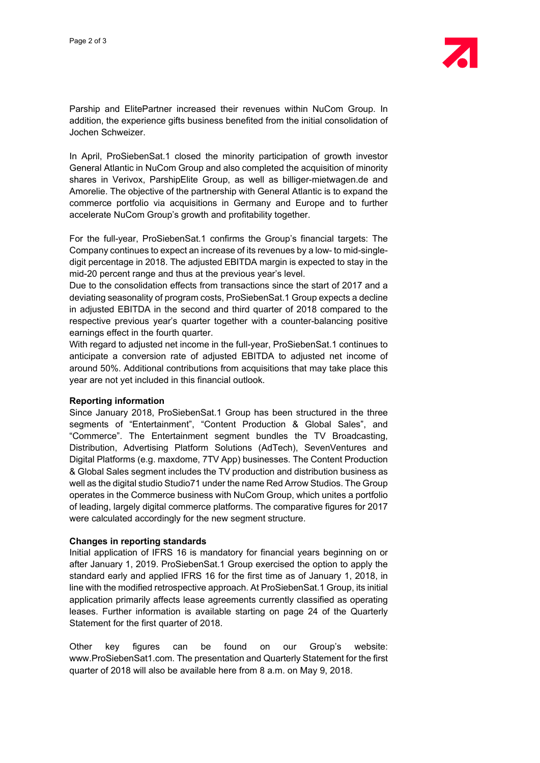Parship and ElitePartner increased their revenues within NuCom Group. In addition, the experience gifts business benefited from the initial consolidation of Jochen Schweizer.

In April, ProSiebenSat.1 closed the minority participation of growth investor General Atlantic in NuCom Group and also completed the acquisition of minority shares in Verivox, ParshipElite Group, as well as billiger-mietwagen.de and Amorelie. The objective of the partnership with General Atlantic is to expand the commerce portfolio via acquisitions in Germany and Europe and to further accelerate NuCom Group's growth and profitability together.

For the full-year, ProSiebenSat.1 confirms the Group's financial targets: The Company continues to expect an increase of its revenues by a low- to mid-singledigit percentage in 2018. The adjusted EBITDA margin is expected to stay in the mid-20 percent range and thus at the previous year's level.

Due to the consolidation effects from transactions since the start of 2017 and a deviating seasonality of program costs, ProSiebenSat.1 Group expects a decline in adjusted EBITDA in the second and third quarter of 2018 compared to the respective previous year's quarter together with a counter-balancing positive earnings effect in the fourth quarter.

With regard to adjusted net income in the full-year, ProSiebenSat.1 continues to anticipate a conversion rate of adjusted EBITDA to adjusted net income of around 50%. Additional contributions from acquisitions that may take place this year are not yet included in this financial outlook.

#### **Reporting information**

Since January 2018, ProSiebenSat.1 Group has been structured in the three segments of "Entertainment", "Content Production & Global Sales", and "Commerce". The Entertainment segment bundles the TV Broadcasting, Distribution, Advertising Platform Solutions (AdTech), SevenVentures and Digital Platforms (e.g. maxdome, 7TV App) businesses. The Content Production & Global Sales segment includes the TV production and distribution business as well as the digital studio Studio71 under the name Red Arrow Studios. The Group operates in the Commerce business with NuCom Group, which unites a portfolio of leading, largely digital commerce platforms. The comparative figures for 2017 were calculated accordingly for the new segment structure.

#### **Changes in reporting standards**

Initial application of IFRS 16 is mandatory for financial years beginning on or after January 1, 2019. ProSiebenSat.1 Group exercised the option to apply the standard early and applied IFRS 16 for the first time as of January 1, 2018, in line with the modified retrospective approach. At ProSiebenSat.1 Group, its initial application primarily affects lease agreements currently classified as operating leases. Further information is available starting on page 24 of the Quarterly Statement for the first quarter of 2018.

Other key figures can be found on our Group's website: www.ProSiebenSat1.com. The presentation and Quarterly Statement for the first quarter of 2018 will also be available here from 8 a.m. on May 9, 2018.